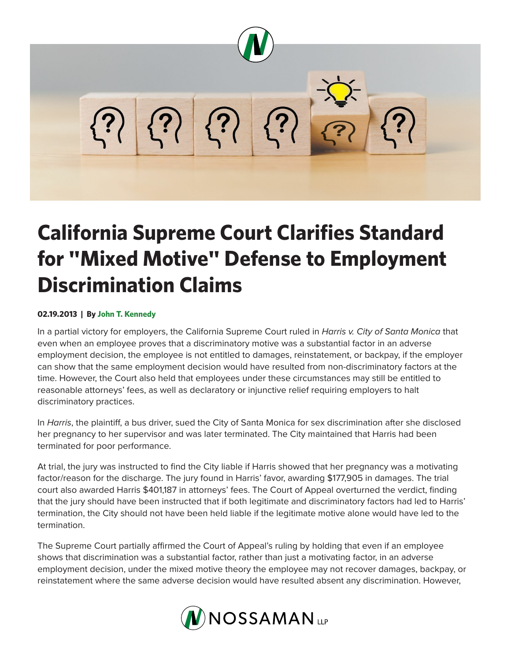

## **California Supreme Court Clarifies Standard for "Mixed Motive" Defense to Employment Discrimination Claims**

## **02.19.2013 | By John T. Kennedy**

In a partial victory for employers, the California Supreme Court ruled in *Harris v. City of Santa Monica* that even when an employee proves that a discriminatory motive was a substantial factor in an adverse employment decision, the employee is not entitled to damages, reinstatement, or backpay, if the employer can show that the same employment decision would have resulted from non-discriminatory factors at the time. However, the Court also held that employees under these circumstances may still be entitled to reasonable attorneys' fees, as well as declaratory or injunctive relief requiring employers to halt discriminatory practices.

In *Harris*, the plaintiff, a bus driver, sued the City of Santa Monica for sex discrimination after she disclosed her pregnancy to her supervisor and was later terminated. The City maintained that Harris had been terminated for poor performance.

At trial, the jury was instructed to find the City liable if Harris showed that her pregnancy was a motivating factor/reason for the discharge. The jury found in Harris' favor, awarding \$177,905 in damages. The trial court also awarded Harris \$401,187 in attorneys' fees. The Court of Appeal overturned the verdict, finding that the jury should have been instructed that if both legitimate and discriminatory factors had led to Harris' termination, the City should not have been held liable if the legitimate motive alone would have led to the termination.

The Supreme Court partially affirmed the Court of Appeal's ruling by holding that even if an employee shows that discrimination was a substantial factor, rather than just a motivating factor, in an adverse employment decision, under the mixed motive theory the employee may not recover damages, backpay, or reinstatement where the same adverse decision would have resulted absent any discrimination. However,